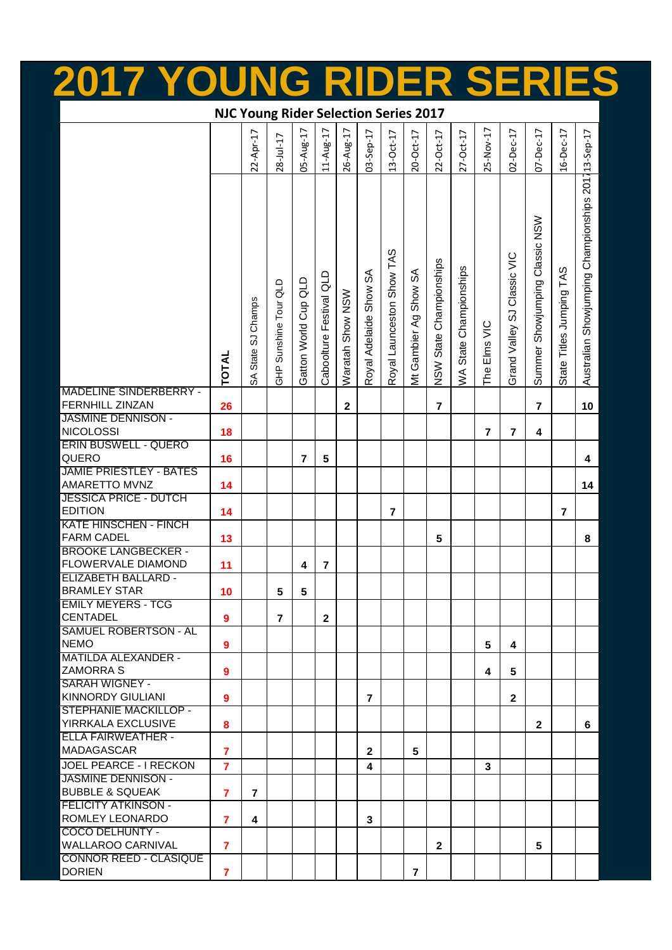|                                                           |                                              | INC                |                       |                      |                         |                  |                         |                           |                       |                         |                        |              |                             |                                |                          |                                                    |
|-----------------------------------------------------------|----------------------------------------------|--------------------|-----------------------|----------------------|-------------------------|------------------|-------------------------|---------------------------|-----------------------|-------------------------|------------------------|--------------|-----------------------------|--------------------------------|--------------------------|----------------------------------------------------|
|                                                           | <b>NJC Young Rider Selection Series 2017</b> |                    |                       |                      |                         |                  |                         |                           |                       |                         |                        |              |                             |                                |                          |                                                    |
|                                                           |                                              | 22-Apr-17          | $28 - Ju - 17$        | 05-Aug-17            | $11-Aug-17$             | 26-Aug-17        | 03-Sep-17               | $13-Oct-17$               | $20 - Oct - 17$       | $22-Oct-17$             | $27-Oct-17$            | 25-Nov-17    | $02 - Dec-17$               | $07 - Dec-17$                  | $16-Dec-17$              |                                                    |
|                                                           | <b>TOTAL</b>                                 | SA State SJ Champs | GHP Sunshine Tour QLD | Gatton World Cup QLD | Caboolture Festival QLD | Waratah Show NSW | Royal Adelaide Show SA  | Royal Launceston Show TAS | Mt Gambier Ag Show SA | NSW State Championships | WA State Championships | The Elms VIC | Grand Valley SJ Classic VIC | Summer Showjumping Classic NSW | State Titles Jumping TAS | Australian Showjumping Championships 201713-Sep-17 |
| <b>MADELINE SINDERBERRY -</b><br><b>FERNHILL ZINZAN</b>   | 26                                           |                    |                       |                      |                         | $\mathbf{2}$     |                         |                           |                       | $\overline{7}$          |                        |              |                             | $\overline{7}$                 |                          | 10                                                 |
| <b>JASMINE DENNISON -</b><br><b>NICOLOSSI</b>             | 18                                           |                    |                       |                      |                         |                  |                         |                           |                       |                         |                        | 7            | $\overline{\mathbf{r}}$     | 4                              |                          |                                                    |
| <b>ERIN BUSWELL - QUERO</b>                               |                                              |                    |                       |                      |                         |                  |                         |                           |                       |                         |                        |              |                             |                                |                          |                                                    |
| QUERO<br><b>JAMIE PRIESTLEY - BATES</b>                   | 16                                           |                    |                       | $\overline{7}$       | 5                       |                  |                         |                           |                       |                         |                        |              |                             |                                |                          | 4                                                  |
| AMARETTO MVNZ<br><b>JESSICA PRICE - DUTCH</b>             | 14                                           |                    |                       |                      |                         |                  |                         |                           |                       |                         |                        |              |                             |                                |                          | 14                                                 |
| <b>EDITION</b>                                            | 14                                           |                    |                       |                      |                         |                  |                         | $\overline{\mathbf{z}}$   |                       |                         |                        |              |                             |                                | $\overline{7}$           |                                                    |
| <b>KATE HINSCHEN - FINCH</b><br><b>FARM CADEL</b>         | 13                                           |                    |                       |                      |                         |                  |                         |                           |                       | 5                       |                        |              |                             |                                |                          | 8                                                  |
| <b>BROOKE LANGBECKER -</b>                                |                                              |                    |                       |                      |                         |                  |                         |                           |                       |                         |                        |              |                             |                                |                          |                                                    |
| FLOWERVALE DIAMOND<br><b>ELIZABETH BALLARD -</b>          | 11                                           |                    |                       | 4                    | 7                       |                  |                         |                           |                       |                         |                        |              |                             |                                |                          |                                                    |
| <b>BRAMLEY STAR</b>                                       | 10                                           |                    | 5                     | 5                    |                         |                  |                         |                           |                       |                         |                        |              |                             |                                |                          |                                                    |
| <b>EMILY MEYERS - TCG</b><br><b>CENTADEL</b>              | $\boldsymbol{9}$                             |                    | $\overline{7}$        |                      | $\mathbf{2}$            |                  |                         |                           |                       |                         |                        |              |                             |                                |                          |                                                    |
| <b>SAMUEL ROBERTSON - AL</b>                              |                                              |                    |                       |                      |                         |                  |                         |                           |                       |                         |                        |              |                             |                                |                          |                                                    |
| <b>NEMO</b><br><b>MATILDA ALEXANDER -</b>                 | $\overline{9}$                               |                    |                       |                      |                         |                  |                         |                           |                       |                         |                        | 5            | 4                           |                                |                          |                                                    |
| <b>ZAMORRA S</b>                                          | 9                                            |                    |                       |                      |                         |                  |                         |                           |                       |                         |                        | 4            | 5                           |                                |                          |                                                    |
| <b>SARAH WIGNEY -</b><br><b>KINNORDY GIULIANI</b>         |                                              |                    |                       |                      |                         |                  |                         |                           |                       |                         |                        |              |                             |                                |                          |                                                    |
| STEPHANIE MACKILLOP -                                     | 9                                            |                    |                       |                      |                         |                  | $\overline{7}$          |                           |                       |                         |                        |              | $\mathbf{2}$                |                                |                          |                                                    |
| <b>YIRRKALA EXCLUSIVE</b>                                 | 8                                            |                    |                       |                      |                         |                  |                         |                           |                       |                         |                        |              |                             | $\mathbf{2}$                   |                          | 6                                                  |
| <b>ELLA FAIRWEATHER -</b><br><b>MADAGASCAR</b>            | $\overline{7}$                               |                    |                       |                      |                         |                  | $\overline{2}$          |                           | 5                     |                         |                        |              |                             |                                |                          |                                                    |
| JOEL PEARCE - I RECKON                                    | $\overline{7}$                               |                    |                       |                      |                         |                  | $\overline{\mathbf{4}}$ |                           |                       |                         |                        | 3            |                             |                                |                          |                                                    |
| <b>JASMINE DENNISON -</b>                                 |                                              |                    |                       |                      |                         |                  |                         |                           |                       |                         |                        |              |                             |                                |                          |                                                    |
| <b>BUBBLE &amp; SQUEAK</b><br><b>FELICITY ATKINSON -</b>  | $\overline{7}$                               | $\overline{7}$     |                       |                      |                         |                  |                         |                           |                       |                         |                        |              |                             |                                |                          |                                                    |
| <b>ROMLEY LEONARDO</b>                                    | $\overline{7}$                               | 4                  |                       |                      |                         |                  | 3                       |                           |                       |                         |                        |              |                             |                                |                          |                                                    |
| COCO DELHUNTY -                                           |                                              |                    |                       |                      |                         |                  |                         |                           |                       |                         |                        |              |                             |                                |                          |                                                    |
| <b>WALLAROO CARNIVAL</b><br><b>CONNOR REED - CLASIQUE</b> | $\overline{7}$                               |                    |                       |                      |                         |                  |                         |                           |                       | $\mathbf{2}$            |                        |              |                             | 5                              |                          |                                                    |
| <b>DORIEN</b>                                             | 7                                            |                    |                       |                      |                         |                  |                         |                           | $\overline{7}$        |                         |                        |              |                             |                                |                          |                                                    |

**2017 YOUNG RIDER SERIES**